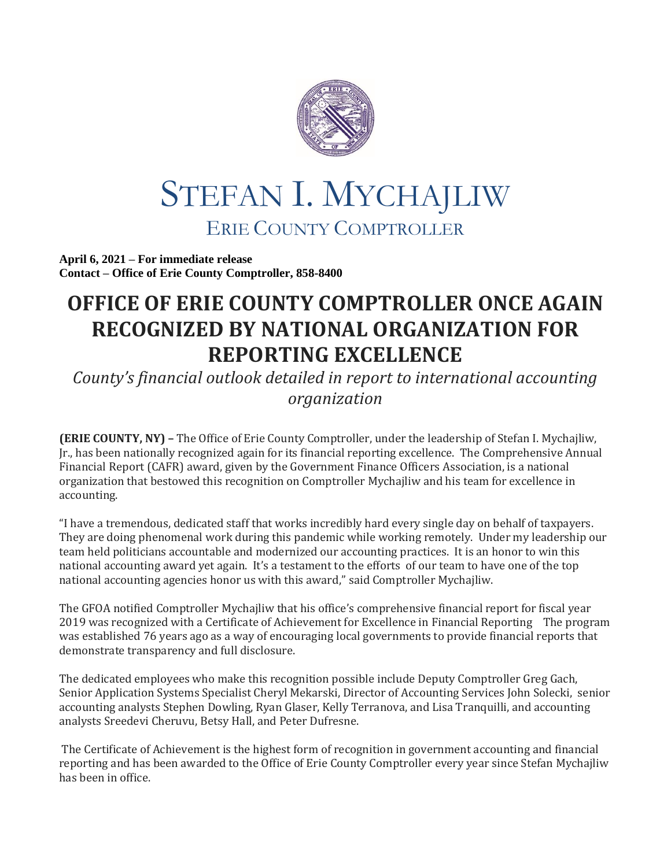

## STEFAN I. MYCHAJLIW ERIE COUNTY COMPTROLLER

**April 6, 2021 – For immediate release Contact – Office of Erie County Comptroller, 858-8400**

## **OFFICE OF ERIE COUNTY COMPTROLLER ONCE AGAIN RECOGNIZED BY NATIONAL ORGANIZATION FOR REPORTING EXCELLENCE**

*County's financial outlook detailed in report to international accounting organization*

**(ERIE COUNTY, NY) –** The Office of Erie County Comptroller, under the leadership of Stefan I. Mychajliw, Jr., has been nationally recognized again for its financial reporting excellence. The Comprehensive Annual Financial Report (CAFR) award, given by the Government Finance Officers Association, is a national organization that bestowed this recognition on Comptroller Mychajliw and his team for excellence in accounting.

"I have a tremendous, dedicated staff that works incredibly hard every single day on behalf of taxpayers. They are doing phenomenal work during this pandemic while working remotely. Under my leadership our team held politicians accountable and modernized our accounting practices. It is an honor to win this national accounting award yet again. It's a testament to the efforts of our team to have one of the top national accounting agencies honor us with this award," said Comptroller Mychajliw.

The GFOA notified Comptroller Mychajliw that his office's comprehensive financial report for fiscal year 2019 was recognized with a Certificate of Achievement for Excellence in Financial Reporting The program was established 76 years ago as a way of encouraging local governments to provide financial reports that demonstrate transparency and full disclosure.

The dedicated employees who make this recognition possible include Deputy Comptroller Greg Gach, Senior Application Systems Specialist Cheryl Mekarski, Director of Accounting Services John Solecki, senior accounting analysts Stephen Dowling, Ryan Glaser, Kelly Terranova, and Lisa Tranquilli, and accounting analysts Sreedevi Cheruvu, Betsy Hall, and Peter Dufresne.

The Certificate of Achievement is the highest form of recognition in government accounting and financial reporting and has been awarded to the Office of Erie County Comptroller every year since Stefan Mychajliw has been in office.